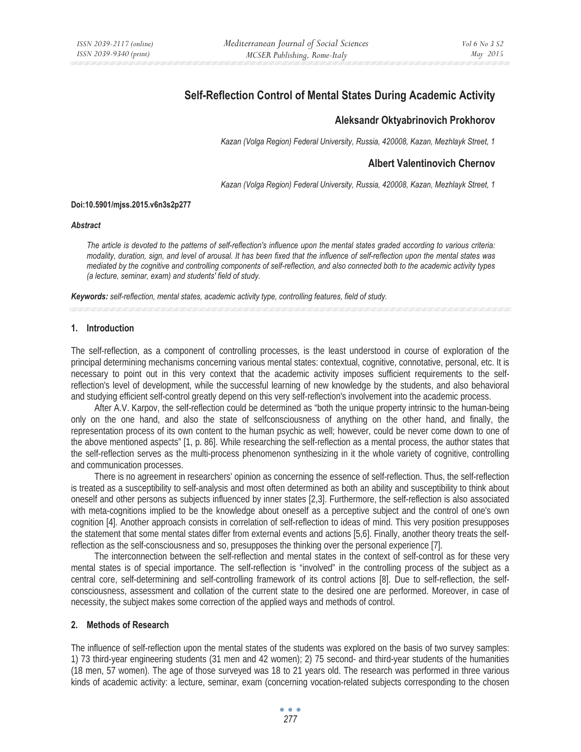# **Self-Reflection Control of Mental States During Academic Activity**

# **Aleksandr Oktyabrinovich Prokhorov**

*Kazan (Volga Region) Federal University, Russia, 420008, Kazan, Mezhlayk Street, 1* 

# **Albert Valentinovich Chernov**

*Kazan (Volga Region) Federal University, Russia, 420008, Kazan, Mezhlayk Street, 1* 

#### **Doi:10.5901/mjss.2015.v6n3s2p277**

#### *Abstract*

*The article is devoted to the patterns of self-reflection's influence upon the mental states graded according to various criteria: modality, duration, sign, and level of arousal. It has been fixed that the influence of self-reflection upon the mental states was mediated by the cognitive and controlling components of self-reflection, and also connected both to the academic activity types (a lecture, seminar, exam) and students' field of study.* 

*Keywords: self-reflection, mental states, academic activity type, controlling features, field of study.*

#### **1. Introduction**

The self-reflection, as a component of controlling processes, is the least understood in course of exploration of the principal determining mechanisms concerning various mental states: contextual, cognitive, connotative, personal, etc. It is necessary to point out in this very context that the academic activity imposes sufficient requirements to the selfreflection's level of development, while the successful learning of new knowledge by the students, and also behavioral and studying efficient self-control greatly depend on this very self-reflection's involvement into the academic process.

After A.V. Karpov, the self-reflection could be determined as "both the unique property intrinsic to the human-being only on the one hand, and also the state of selfconsciousness of anything on the other hand, and finally, the representation process of its own content to the human psychic as well; however, could be never come down to one of the above mentioned aspects" [1, p. 86]. While researching the self-reflection as a mental process, the author states that the self-reflection serves as the multi-process phenomenon synthesizing in it the whole variety of cognitive, controlling and communication processes.

There is no agreement in researchers' opinion as concerning the essence of self-reflection. Thus, the self-reflection is treated as a susceptibility to self-analysis and most often determined as both an ability and susceptibility to think about oneself and other persons as subjects influenced by inner states [2,3]. Furthermore, the self-reflection is also associated with meta-cognitions implied to be the knowledge about oneself as a perceptive subject and the control of one's own cognition [4]. Another approach consists in correlation of self-reflection to ideas of mind. This very position presupposes the statement that some mental states differ from external events and actions [5,6]. Finally, another theory treats the selfreflection as the self-consciousness and so, presupposes the thinking over the personal experience [7].

The interconnection between the self-reflection and mental states in the context of self-control as for these very mental states is of special importance. The self-reflection is "involved" in the controlling process of the subject as a central core, self-determining and self-controlling framework of its control actions [8]. Due to self-reflection, the selfconsciousness, assessment and collation of the current state to the desired one are performed. Moreover, in case of necessity, the subject makes some correction of the applied ways and methods of control.

#### **2. Methods of Research**

The influence of self-reflection upon the mental states of the students was explored on the basis of two survey samples: 1) 73 third-year engineering students (31 men and 42 women); 2) 75 second- and third-year students of the humanities (18 men, 57 women). The age of those surveyed was 18 to 21 years old. The research was performed in three various kinds of academic activity: a lecture, seminar, exam (concerning vocation-related subjects corresponding to the chosen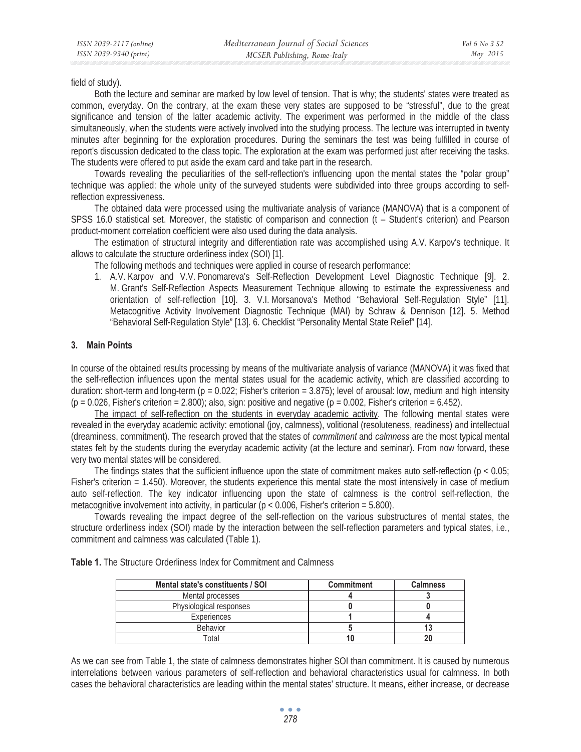field of study).

Both the lecture and seminar are marked by low level of tension. That is why; the students' states were treated as common, everyday. On the contrary, at the exam these very states are supposed to be "stressful", due to the great significance and tension of the latter academic activity. The experiment was performed in the middle of the class simultaneously, when the students were actively involved into the studying process. The lecture was interrupted in twenty minutes after beginning for the exploration procedures. During the seminars the test was being fulfilled in course of report's discussion dedicated to the class topic. The exploration at the exam was performed just after receiving the tasks. The students were offered to put aside the exam card and take part in the research.

Towards revealing the peculiarities of the self-reflection's influencing upon the mental states the "polar group" technique was applied: the whole unity of the surveyed students were subdivided into three groups according to selfreflection expressiveness.

The obtained data were processed using the multivariate analysis of variance (MANOVA) that is a component of SPSS 16.0 statistical set. Moreover, the statistic of comparison and connection (t – Student's criterion) and Pearson product-moment correlation coefficient were also used during the data analysis.

The estimation of structural integrity and differentiation rate was accomplished using A.V. Karpov's technique. It allows to calculate the structure orderliness index (SOI) [1].

The following methods and techniques were applied in course of research performance:

1. A.V. Karpov and V.V. Ponomareva's Self-Reflection Development Level Diagnostic Technique [9]. 2. M. Grant's Self-Reflection Aspects Measurement Technique allowing to estimate the expressiveness and orientation of self-reflection [10]. 3. V.I. Morsanova's Method "Behavioral Self-Regulation Style" [11]. Metacognitive Activity Involvement Diagnostic Technique (MAI) by Schraw & Dennison [12]. 5. Method "Behavioral Self-Regulation Style" [13]. 6. Checklist "Personality Mental State Relief" [14].

#### **3. Main Points**

In course of the obtained results processing by means of the multivariate analysis of variance (MANOVA) it was fixed that the self-reflection influences upon the mental states usual for the academic activity, which are classified according to duration: short-term and long-term ( $p = 0.022$ ; Fisher's criterion = 3.875); level of arousal: low, medium and high intensity  $(p = 0.026,$  Fisher's criterion = 2.800); also, sign: positive and negative  $(p = 0.002,$  Fisher's criterion = 6.452).

The impact of self-reflection on the students in everyday academic activity. The following mental states were revealed in the everyday academic activity: emotional (joy, calmness), volitional (resoluteness, readiness) and intellectual (dreaminess, commitment). The research proved that the states of *commitment* and *calmness* are the most typical mental states felt by the students during the everyday academic activity (at the lecture and seminar). From now forward, these very two mental states will be considered.

The findings states that the sufficient influence upon the state of commitment makes auto self-reflection ( $p < 0.05$ ) Fisher's criterion = 1.450). Moreover, the students experience this mental state the most intensively in case of medium auto self-reflection. The key indicator influencing upon the state of calmness is the control self-reflection, the metacognitive involvement into activity, in particular ( $p < 0.006$ , Fisher's criterion = 5.800).

Towards revealing the impact degree of the self-reflection on the various substructures of mental states, the structure orderliness index (SOI) made by the interaction between the self-reflection parameters and typical states, i.e., commitment and calmness was calculated (Table 1).

| Mental state's constituents / SOI | <b>Commitment</b> | <b>Calmness</b> |
|-----------------------------------|-------------------|-----------------|
| Mental processes                  |                   |                 |
| Physiological responses           |                   |                 |
| Experiences                       |                   |                 |
| <b>Behavior</b>                   |                   |                 |
| <b>Total</b>                      |                   |                 |

As we can see from Table 1, the state of calmness demonstrates higher SOI than commitment. It is caused by numerous interrelations between various parameters of self-reflection and behavioral characteristics usual for calmness. In both cases the behavioral characteristics are leading within the mental states' structure. It means, either increase, or decrease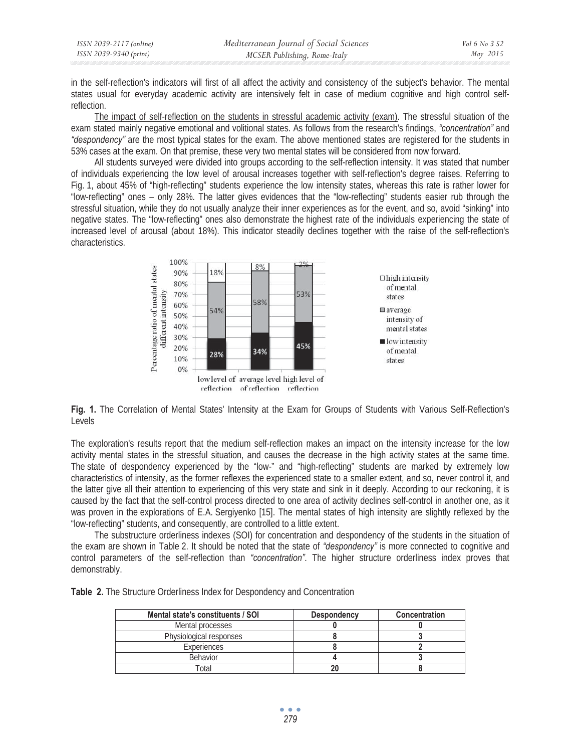| ISSN 2039-2117 (online) | Mediterranean Journal of Social Sciences | Vol 6 No 3 S2 |
|-------------------------|------------------------------------------|---------------|
| ISSN 2039-9340 (print)  | MCSER Publishing, Rome-Italy             | May 2015      |

in the self-reflection's indicators will first of all affect the activity and consistency of the subject's behavior. The mental states usual for everyday academic activity are intensively felt in case of medium cognitive and high control selfreflection.

The impact of self-reflection on the students in stressful academic activity (exam). The stressful situation of the exam stated mainly negative emotional and volitional states. As follows from the research's findings, *"concentration"* and *"despondency"* are the most typical states for the exam. The above mentioned states are registered for the students in 53% cases at the exam. On that premise, these very two mental states will be considered from now forward.

All students surveyed were divided into groups according to the self-reflection intensity. It was stated that number of individuals experiencing the low level of arousal increases together with self-reflection's degree raises. Referring to Fig. 1, about 45% of "high-reflecting" students experience the low intensity states, whereas this rate is rather lower for "low-reflecting" ones – only 28%. The latter gives evidences that the "low-reflecting" students easier rub through the stressful situation, while they do not usually analyze their inner experiences as for the event, and so, avoid "sinking" into negative states. The "low-reflecting" ones also demonstrate the highest rate of the individuals experiencing the state of increased level of arousal (about 18%). This indicator steadily declines together with the raise of the self-reflection's characteristics.



**Fig. 1.** The Correlation of Mental States' Intensity at the Exam for Groups of Students with Various Self-Reflection's Levels

The exploration's results report that the medium self-reflection makes an impact on the intensity increase for the low activity mental states in the stressful situation, and causes the decrease in the high activity states at the same time. The state of despondency experienced by the "low-" and "high-reflecting" students are marked by extremely low characteristics of intensity, as the former reflexes the experienced state to a smaller extent, and so, never control it, and the latter give all their attention to experiencing of this very state and sink in it deeply. According to our reckoning, it is caused by the fact that the self-control process directed to one area of activity declines self-control in another one, as it was proven in the explorations of E.A. Sergiyenko [15]. The mental states of high intensity are slightly reflexed by the "low-reflecting" students, and consequently, are controlled to a little extent.

The substructure orderliness indexes (SOI) for concentration and despondency of the students in the situation of the exam are shown in Table 2. It should be noted that the state of *"despondency"* is more connected to cognitive and control parameters of the self-reflection than *"concentration"*. The higher structure orderliness index proves that demonstrably.

| Table 2. The Structure Orderliness Index for Despondency and Concentration |
|----------------------------------------------------------------------------|
|----------------------------------------------------------------------------|

| Mental state's constituents / SOI | <b>Despondency</b> | <b>Concentration</b> |
|-----------------------------------|--------------------|----------------------|
| Mental processes                  |                    |                      |
| Physiological responses           |                    |                      |
| Experiences                       |                    |                      |
| <b>Behavior</b>                   |                    |                      |
| ⊺otal                             |                    |                      |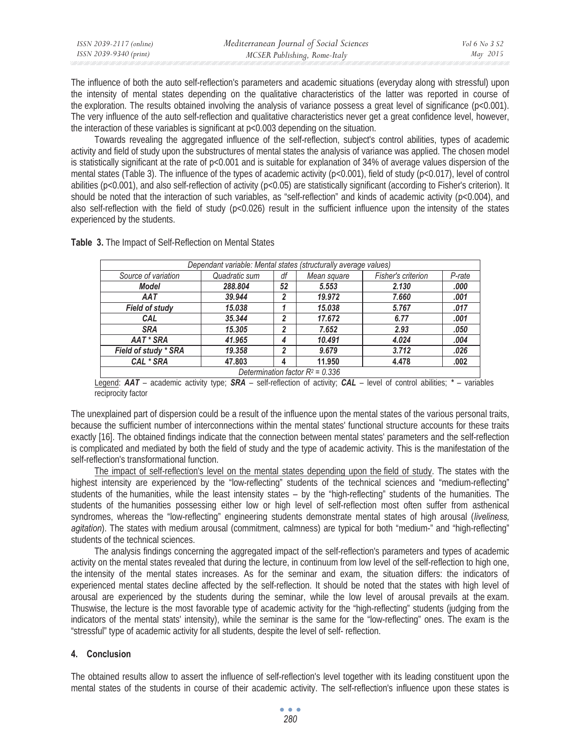| ISSN 2039-2117 (online) | Mediterranean Journal of Social Sciences | Vol 6 No 3 S2 |
|-------------------------|------------------------------------------|---------------|
| ISSN 2039-9340 (print)  | MCSER Publishing, Rome-Italy             | May 2015      |

The influence of both the auto self-reflection's parameters and academic situations (everyday along with stressful) upon the intensity of mental states depending on the qualitative characteristics of the latter was reported in course of the exploration. The results obtained involving the analysis of variance possess a great level of significance ( $p<0.001$ ). The very influence of the auto self-reflection and qualitative characteristics never get a great confidence level, however, the interaction of these variables is significant at p<0.003 depending on the situation.

Towards revealing the aggregated influence of the self-reflection, subject's control abilities, types of academic activity and field of study upon the substructures of mental states the analysis of variance was applied. The chosen model is statistically significant at the rate of  $p<0.001$  and is suitable for explanation of 34% of average values dispersion of the mental states (Table 3). The influence of the types of academic activity ( $p<0.001$ ), field of study ( $p<0.017$ ), level of control abilities ( $p<0.001$ ), and also self-reflection of activity ( $p<0.05$ ) are statistically significant (according to Fisher's criterion). It should be noted that the interaction of such variables, as "self-reflection" and kinds of academic activity ( $p<0.004$ ), and also self-reflection with the field of study ( $p<0.026$ ) result in the sufficient influence upon the intensity of the states experienced by the students.

| Dependant variable: Mental states (structurally average values) |               |    |             |                    |        |
|-----------------------------------------------------------------|---------------|----|-------------|--------------------|--------|
| Source of variation                                             | Quadratic sum | df | Mean square | Fisher's criterion | P-rate |
| <b>Model</b>                                                    | 288.804       | 52 | 5.553       | 2.130              | .000   |
| AAT                                                             | 39,944        | 2  | 19,972      | 7.660              | .001   |
| <b>Field of study</b>                                           | 15.038        |    | 15,038      | 5.767              | .017   |
| CAL                                                             | 35.344        | 2  | 17.672      | 6.77               | .001   |
| <b>SRA</b>                                                      | 15,305        | 2  | 7.652       | 2.93               | .050   |
| AAT * SRA                                                       | 41.965        | 4  | 10.491      | 4.024              | .004   |
| Field of study * SRA                                            | 19,358        | 2  | 9.679       | 3.712              | .026   |
| CAL * SRA                                                       | 47,803        | 4  | 11.950      | 4.478              | .002   |
| Determination factor $R^2$ = 0.336                              |               |    |             |                    |        |

**Table 3.** The Impact of Self-Reflection on Mental States

Legend: *AAT* – academic activity type; *SRA* – self-reflection of activity; *CAL* – level of control abilities; *\** – variables reciprocity factor

The unexplained part of dispersion could be a result of the influence upon the mental states of the various personal traits, because the sufficient number of interconnections within the mental states' functional structure accounts for these traits exactly [16]. The obtained findings indicate that the connection between mental states' parameters and the self-reflection is complicated and mediated by both the field of study and the type of academic activity. This is the manifestation of the self-reflection's transformational function.

The impact of self-reflection's level on the mental states depending upon the field of study. The states with the highest intensity are experienced by the "low-reflecting" students of the technical sciences and "medium-reflecting" students of the humanities, while the least intensity states – by the "high-reflecting" students of the humanities. The students of the humanities possessing either low or high level of self-reflection most often suffer from asthenical syndromes, whereas the "low-reflecting" engineering students demonstrate mental states of high arousal (*liveliness, agitation*). The states with medium arousal (commitment, calmness) are typical for both "medium-" and "high-reflecting" students of the technical sciences.

The analysis findings concerning the aggregated impact of the self-reflection's parameters and types of academic activity on the mental states revealed that during the lecture, in continuum from low level of the self-reflection to high one, the intensity of the mental states increases. As for the seminar and exam, the situation differs: the indicators of experienced mental states decline affected by the self-reflection. It should be noted that the states with high level of arousal are experienced by the students during the seminar, while the low level of arousal prevails at the exam. Thuswise, the lecture is the most favorable type of academic activity for the "high-reflecting" students (judging from the indicators of the mental stats' intensity), while the seminar is the same for the "low-reflecting" ones. The exam is the "stressful" type of academic activity for all students, despite the level of self- reflection.

#### **4. Conclusion**

The obtained results allow to assert the influence of self-reflection's level together with its leading constituent upon the mental states of the students in course of their academic activity. The self-reflection's influence upon these states is